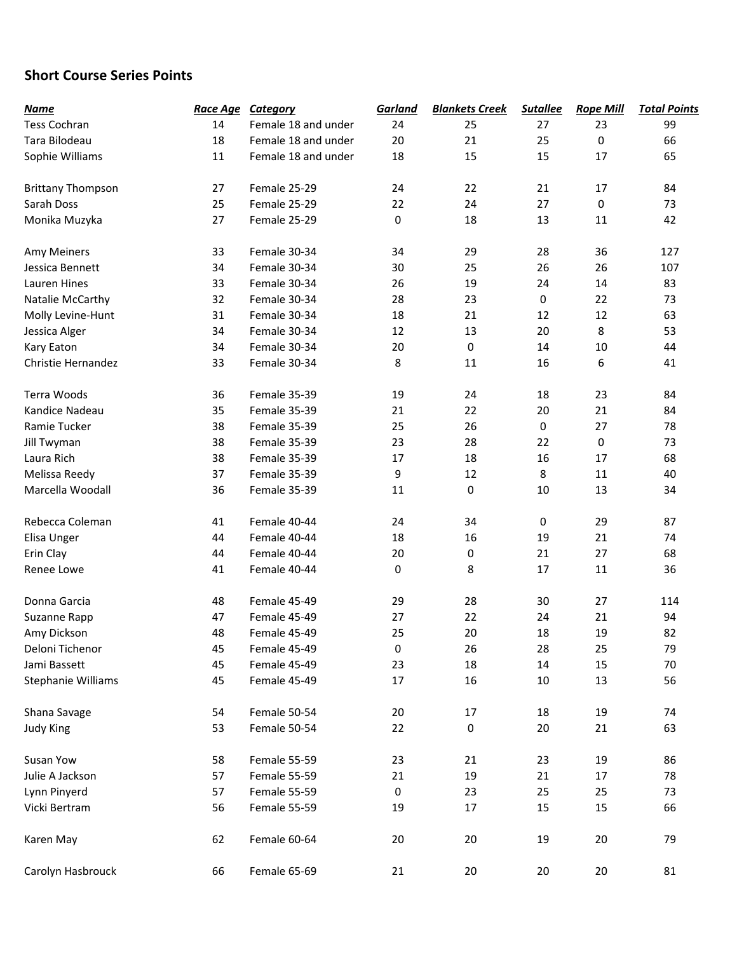## **Short Course Series Points**

| <b>Name</b>              | Race Age | <b>Category</b>     | Garland   | <b>Blankets Creek</b> | <b>Sutallee</b> | <b>Rope Mill</b> | <b>Total Points</b> |
|--------------------------|----------|---------------------|-----------|-----------------------|-----------------|------------------|---------------------|
| <b>Tess Cochran</b>      | 14       | Female 18 and under | 24        | 25                    | 27              | 23               | 99                  |
| Tara Bilodeau            | 18       | Female 18 and under | 20        | 21                    | 25              | 0                | 66                  |
| Sophie Williams          | 11       | Female 18 and under | 18        | 15                    | 15              | 17               | 65                  |
|                          |          |                     |           |                       |                 |                  |                     |
| <b>Brittany Thompson</b> | 27       | Female 25-29        | 24        | 22                    | 21              | 17               | 84                  |
| Sarah Doss               | 25       | Female 25-29        | 22        | 24                    | 27              | 0                | 73                  |
| Monika Muzyka            | 27       | Female 25-29        | 0         | 18                    | 13              | 11               | 42                  |
| Amy Meiners              | 33       | Female 30-34        | 34        | 29                    | 28              | 36               | 127                 |
| Jessica Bennett          | 34       | Female 30-34        | 30        | 25                    | 26              | 26               | 107                 |
| Lauren Hines             | 33       | Female 30-34        | 26        | 19                    | 24              | 14               | 83                  |
| Natalie McCarthy         | 32       | Female 30-34        | 28        | 23                    | 0               | 22               | 73                  |
| Molly Levine-Hunt        | 31       | Female 30-34        | 18        | 21                    | 12              | 12               | 63                  |
| Jessica Alger            | 34       | Female 30-34        | 12        | 13                    | 20              | 8                | 53                  |
| Kary Eaton               | 34       | Female 30-34        | 20        | 0                     | 14              | 10               | 44                  |
| Christie Hernandez       | 33       | Female 30-34        | 8         | 11                    | 16              | 6                | 41                  |
| Terra Woods              | 36       | Female 35-39        | 19        | 24                    | 18              | 23               | 84                  |
| Kandice Nadeau           | 35       | Female 35-39        | 21        | 22                    | 20              | 21               | 84                  |
| Ramie Tucker             | 38       | Female 35-39        | 25        | 26                    | $\mathsf 0$     | 27               | 78                  |
| Jill Twyman              | 38       | Female 35-39        | 23        | 28                    | 22              | 0                | 73                  |
| Laura Rich               | 38       | Female 35-39        | 17        | 18                    | 16              | 17               | 68                  |
| Melissa Reedy            | 37       | Female 35-39        | 9         | 12                    | 8               | 11               | 40                  |
| Marcella Woodall         | 36       | Female 35-39        | 11        | 0                     | 10              | 13               | 34                  |
| Rebecca Coleman          | 41       | Female 40-44        | 24        | 34                    | $\pmb{0}$       | 29               | 87                  |
| Elisa Unger              | 44       | Female 40-44        | 18        | 16                    | 19              | 21               | 74                  |
| Erin Clay                | 44       | Female 40-44        | 20        | 0                     | 21              | 27               | 68                  |
| Renee Lowe               | 41       | Female 40-44        | $\pmb{0}$ | 8                     | 17              | 11               | 36                  |
| Donna Garcia             | 48       | Female 45-49        | 29        | 28                    | 30              | 27               | 114                 |
| Suzanne Rapp             | 47       | Female 45-49        | 27        | 22                    | 24              | 21               | 94                  |
| Amy Dickson              | 48       | Female 45-49        | 25        | 20                    | 18              | 19               | 82                  |
| Deloni Tichenor          | 45       | Female 45-49        | 0         | 26                    | 28              | 25               | 79                  |
| Jami Bassett             | 45       | Female 45-49        | 23        | 18                    | 14              | 15               | 70                  |
| Stephanie Williams       | 45       | Female 45-49        | 17        | 16                    | 10              | 13               | 56                  |
| Shana Savage             | 54       | Female 50-54        | 20        | 17                    | 18              | 19               | 74                  |
| <b>Judy King</b>         | 53       | Female 50-54        | 22        | 0                     | 20              | 21               | 63                  |
| Susan Yow                | 58       | Female 55-59        | 23        | 21                    | 23              | 19               | 86                  |
| Julie A Jackson          | 57       | Female 55-59        | 21        | 19                    | 21              | 17               | 78                  |
| Lynn Pinyerd             | 57       | Female 55-59        | $\pmb{0}$ | 23                    | 25              | 25               | 73                  |
| Vicki Bertram            | 56       | Female 55-59        | 19        | 17                    | 15              | 15               | 66                  |
| Karen May                | 62       | Female 60-64        | 20        | 20                    | 19              | 20               | 79                  |
| Carolyn Hasbrouck        | 66       | Female 65-69        | 21        | 20                    | $20\,$          | 20               | 81                  |